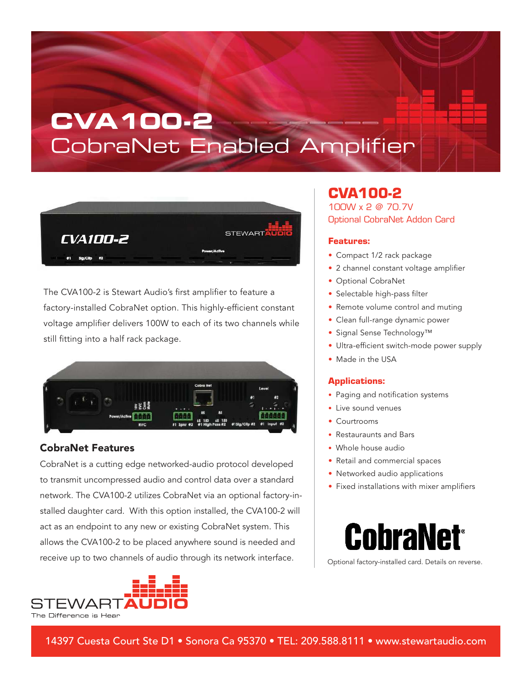## **CVA100-2** CobraNet Enabled Amplifier



The CVA100-2 is Stewart Audio's first amplifier to feature a factory-installed CobraNet option. This highly-efficient constant voltage amplifier delivers 100W to each of its two channels while still fitting into a half rack package.



#### CobraNet Features

CobraNet is a cutting edge networked-audio protocol developed to transmit uncompressed audio and control data over a standard network. The CVA100-2 utilizes CobraNet via an optional factory-installed daughter card. With this option installed, the CVA100-2 will act as an endpoint to any new or existing CobraNet system. This allows the CVA100-2 to be placed anywhere sound is needed and receive up to two channels of audio through its network interface. | coptional factory-installed card. Details on reverse.



### CVA100-2

100W x 2 @ 70.7V Optional CobraNet Addon Card

#### Features:

- Compact 1/2 rack package
- 2 channel constant voltage amplifier
- Optional CobraNet
- Selectable high-pass filter
- Remote volume control and muting
- Clean full-range dynamic power
- Signal Sense Technology™
- Ultra-efficient switch-mode power supply
- Made in the USA

#### Applications:

- Paging and notification systems
- Live sound venues
- Courtrooms
- Restauraunts and Bars
- Whole house audio
- Retail and commercial spaces
- Networked audio applications
- Fixed installations with mixer amplifiers



14397 Cuesta Court Ste D1 • Sonora Ca 95370 • TEL: 209.588.8111 • www.stewartaudio.com